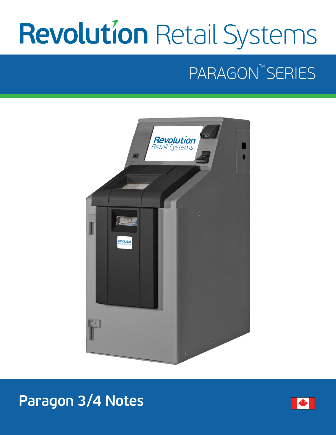# **Revolution Retail Systems**

# PARAGON™SERIES





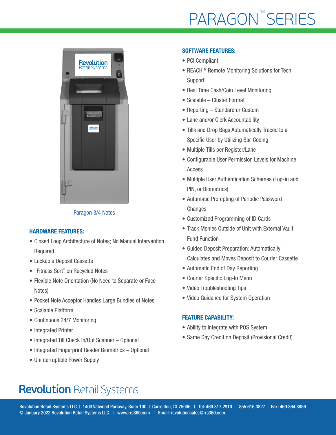# **PARAGON™SERIES**



Paragon 3/4 Notes

#### HARDWARE FEATURES:

- Closed Loop Architecture of Notes; No Manual Intervention Required
- Lockable Deposit Cassette
- "Fitness Sort" on Recycled Notes
- Flexible Note Orientation (No Need to Separate or Face Notes)
- Pocket Note Acceptor Handles Large Bundles of Notes
- Scalable Platform
- Continuous 24/7 Monitoring
- Integrated Printer
- Integrated Till Check In/Out Scanner Optional
- Integrated Fingerprint Reader Biometrics Optional
- Uninterruptible Power Supply

#### SOFTWARE FEATURES:

- PCI Compliant
- REACH<sup>™</sup> Remote Monitoring Solutions for Tech Support
- Real Time Cash/Coin Level Monitoring
- Scalable Cluster Format
- Reporting Standard or Custom
- Lane and/or Clerk Accountability
- Tills and Drop Bags Automatically Traced to a Specific User by Utilizing Bar-Coding
- Multiple Tills per Register/Lane
- Configurable User Permission Levels for Machine Access
- Multiple User Authentication Schemes (Log-in and PIN, or Biometrics)
- Automatic Prompting of Periodic Password **Changes**
- Customized Programming of ID Cards
- Track Monies Outside of Unit with External Vault Fund Function
- Guided Deposit Preparation: Automatically Calculates and Moves Deposit to Courier Cassette
- Automatic End of Day Reporting
- Courier Specific Log-In Menu
- Video Troubleshooting Tips
- Video Guidance for System Operation

#### FEATURE CAPABILITY:

- Ability to Integrate with POS System
- Same Day Credit on Deposit (Provisional Credit)

## **Revolution Retail Systems**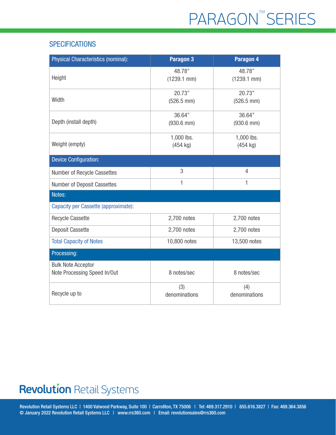## **SPECIFICATIONS**

| Physical Characteristics (nominal):                       | Paragon <sub>3</sub>             | Paragon 4                        |
|-----------------------------------------------------------|----------------------------------|----------------------------------|
| Height                                                    | 48.78"<br>$(1239.1$ mm $)$       | 48.78"<br>$(1239.1$ mm $)$       |
| Width                                                     | 20.73"<br>$(526.5$ mm $)$        | 20.73"<br>$(526.5$ mm $)$        |
| Depth (install depth)                                     | 36.64"<br>$(930.6$ mm)           | 36.64"<br>$(930.6$ mm)           |
| Weight (empty)                                            | 1,000 lbs.<br>$(454 \text{ kg})$ | 1,000 lbs.<br>$(454 \text{ kg})$ |
| <b>Device Configuration:</b>                              |                                  |                                  |
| Number of Recycle Cassettes                               | 3                                | $\overline{4}$                   |
| Number of Deposit Cassettes                               | 1                                | 1                                |
| Notes:                                                    |                                  |                                  |
| Capacity per Cassette (approximate):                      |                                  |                                  |
| <b>Recycle Cassette</b>                                   | 2,700 notes                      | 2,700 notes                      |
| <b>Deposit Cassette</b>                                   | 2,700 notes                      | 2,700 notes                      |
| <b>Total Capacity of Notes</b>                            | 10,800 notes                     | 13,500 notes                     |
| Processing:                                               |                                  |                                  |
| <b>Bulk Note Acceptor</b><br>Note Processing Speed In/Out | 8 notes/sec                      | 8 notes/sec                      |
| Recycle up to                                             | (3)<br>denominations             | (4)<br>denominations             |

## **Revolution Retail Systems**

Revolution Retail Systems LLC | 1400 Valwood Parkway, Suite 100 | Carrollton, TX 75006 | Tel: 469.317.2910 | 855.616.3827 | Fax: 469.364.3856 © January 2022 Revolution Retail Systems LLC | www.rrs360.com | Email: revolutionsales@rrs360.com